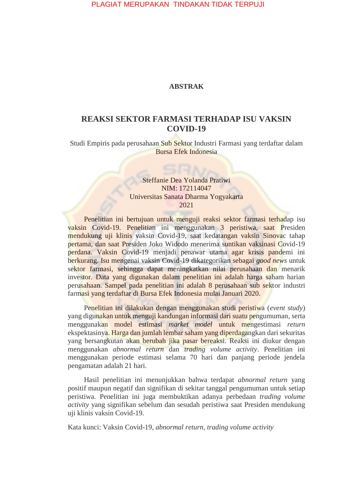PLAGIAT MERUPAKAN TINDAKAN TIDAK TERPUJI

### **ABSTRAK**

# **REAKSI SEKTOR FARMASI TERHADAP ISU VAKSIN COVID-19**

Studi Empiris pada perusahaan Sub Sektor Industri Farmasi yang terdaftar dalam Bursa Efek Indonesia

## Steffanie Dea Yolanda Pratiwi NIM: 172114047 Universitas Sanata Dharma Yogyakarta 2021

Penelitian ini bertujuan untuk menguji reaksi sektor farmasi terhadap isu vaksin Covid-19. Penelitian ini menggunakan 3 peristiwa, saat Presiden mendukung uji klinis vaksin Covid-19, saat kedatangan vaksin Sinovac tahap pertama, dan saat Presiden Joko Widodo menerima suntikan vaksinasi Covid-19 perdana. Vaksin Covid-19 menjadi penawar utama agar krisis pandemi ini berkurang. Isu mengenai vaksin Covid-19 dikategorikan sebagai *good news* untuk sektor farmasi, sehingga dapat meningkatkan nilai perusahaan dan menarik investor. Data yang digunakan dalam penelitian ini adalah harga saham harian perusahaan. Sampel pada penelitian ini adalah 8 perusahaan sub sektor industri farmasi yang terdaftar di Bursa Efek Indonesia mulai Januari 2020.

Penelitian ini dilakukan dengan menggunakan studi peristiwa (*event study*) yang digunakan untuk menguji kandungan informasi dari suatu pengumuman, serta menggunakan model estimasi *market model* untuk mengestimasi *return* ekspektasinya. Harga dan jumlah lembar saham yang diperdagangkan dari sekuritas yang bersangkutan akan berubah jika pasar bereaksi. Reaksi ini diukur dengan menggunakan *abnormal return* dan *trading volume activity*. Penelitian ini menggunakan periode estimasi selama 70 hari dan panjang periode jendela pengamatan adalah 21 hari.

Hasil penelitian ini menunjukkan bahwa terdapat *abnormal return* yang positif maupun negatif dan signifikan di sekitar tanggal pengumuman untuk setiap peristiwa. Penelitian ini juga membuktikan adanya perbedaan *trading volume activity* yang signifikan sebelum dan sesudah peristiwa saat Presiden mendukung uji klinis vaksin Covid-19.

Kata kunci: Vaksin Covid-19, *abnormal return, trading volume activity*